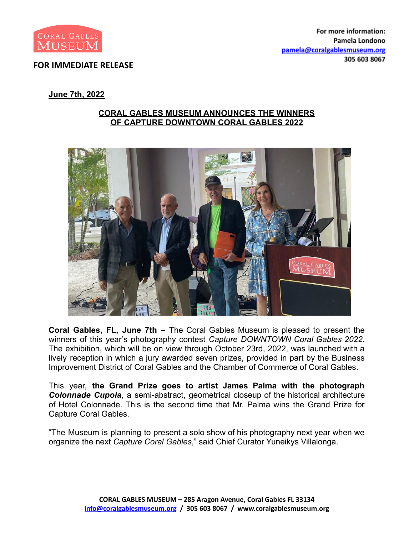

## **FOR IMMEDIATE RELEASE**

## **June 7th, 2022**

## **CORAL GABLES MUSEUM ANNOUNCES THE WINNERS OF CAPTURE DOWNTOWN CORAL GABLES 2022**



**Coral Gables, FL, June 7th –** The Coral Gables Museum is pleased to present the winners of this year's photography contest *Capture DOWNTOWN Coral Gables 2022.* The exhibition, which will be on view through October 23rd, 2022, was launched with a lively reception in which a jury awarded seven prizes, provided in part by the Business Improvement District of Coral Gables and the Chamber of Commerce of Coral Gables.

This year, **the Grand Prize goes to artist James Palma with the photograph** *Colonnade Cupola*, a semi-abstract, geometrical closeup of the historical architecture of Hotel Colonnade. This is the second time that Mr. Palma wins the Grand Prize for Capture Coral Gables.

"The Museum is planning to present a solo show of his photography next year when we organize the next *Capture Coral Gables*," said Chief Curator Yuneikys Villalonga.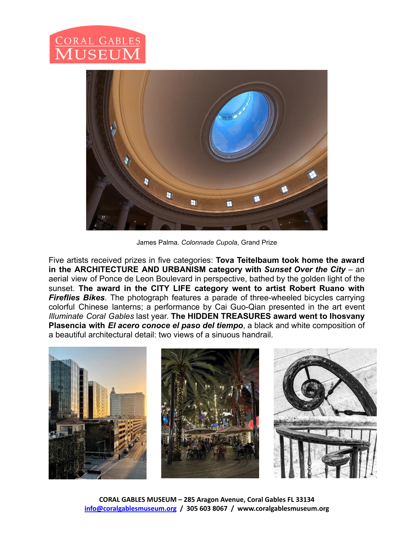

James Palma. *Colonnade Cupola*, Grand Prize

Five artists received prizes in five categories: **Tova Teitelbaum took home the award in the ARCHITECTURE AND URBANISM category with** *Sunset Over the City* – an aerial view of Ponce de Leon Boulevard in perspective, bathed by the golden light of the sunset. **The award in the CITY LIFE category went to artist Robert Ruano with** *Fireflies Bikes*. The photograph features a parade of three-wheeled bicycles carrying colorful Chinese lanterns; a performance by Cai Guo-Qian presented in the art event *Illuminate Coral Gables* last year. **The HIDDEN TREASURES award went to Ihosvany Plasencia with** *El acero conoce el paso del tiempo*, a black and white composition of a beautiful architectural detail: two views of a sinuous handrail.

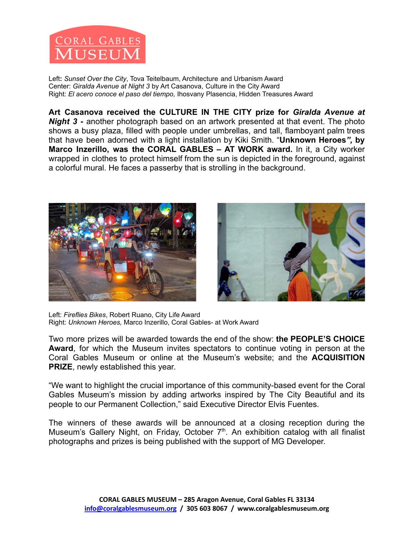

Left**:** *Sunset Over the City*, Tova Teitelbaum, Architecture and Urbanism Award Center: *Giralda Avenue at Night 3* by Art Casanova, Culture in the City Award Right: *El acero conoce el paso del tiempo,* Ihosvany Plasencia, Hidden Treasures Award

**Art Casanova received the CULTURE IN THE CITY prize for** *Giralda Avenue at Night 3* **-** another photograph based on an artwork presented at that event. The photo shows a busy plaza, filled with people under umbrellas, and tall, flamboyant palm trees that have been adorned with a light installation by Kiki Smith. "**Unknown Heroes***",* **by Marco Inzerillo, was the CORAL GABLES – AT WORK award.** In it, a City worker wrapped in clothes to protect himself from the sun is depicted in the foreground, against a colorful mural. He faces a passerby that is strolling in the background.





Left: *Fireflies Bikes*, Robert Ruano, City Life Award Right: *Unknown Heroes,* Marco Inzerillo, Coral Gables- at Work Award

Two more prizes will be awarded towards the end of the show: **the PEOPLE'S CHOICE Award**, for which the Museum invites spectators to continue voting in person at the Coral Gables Museum or online at the Museum's website; and the **ACQUISITION PRIZE**, newly established this year.

"We want to highlight the crucial importance of this community-based event for the Coral Gables Museum's mission by adding artworks inspired by The City Beautiful and its people to our Permanent Collection," said Executive Director Elvis Fuentes.

The winners of these awards will be announced at a closing reception during the Museum's Gallery Night, on Friday, October 7<sup>th</sup>. An exhibition catalog with all finalist photographs and prizes is being published with the support of MG Developer.